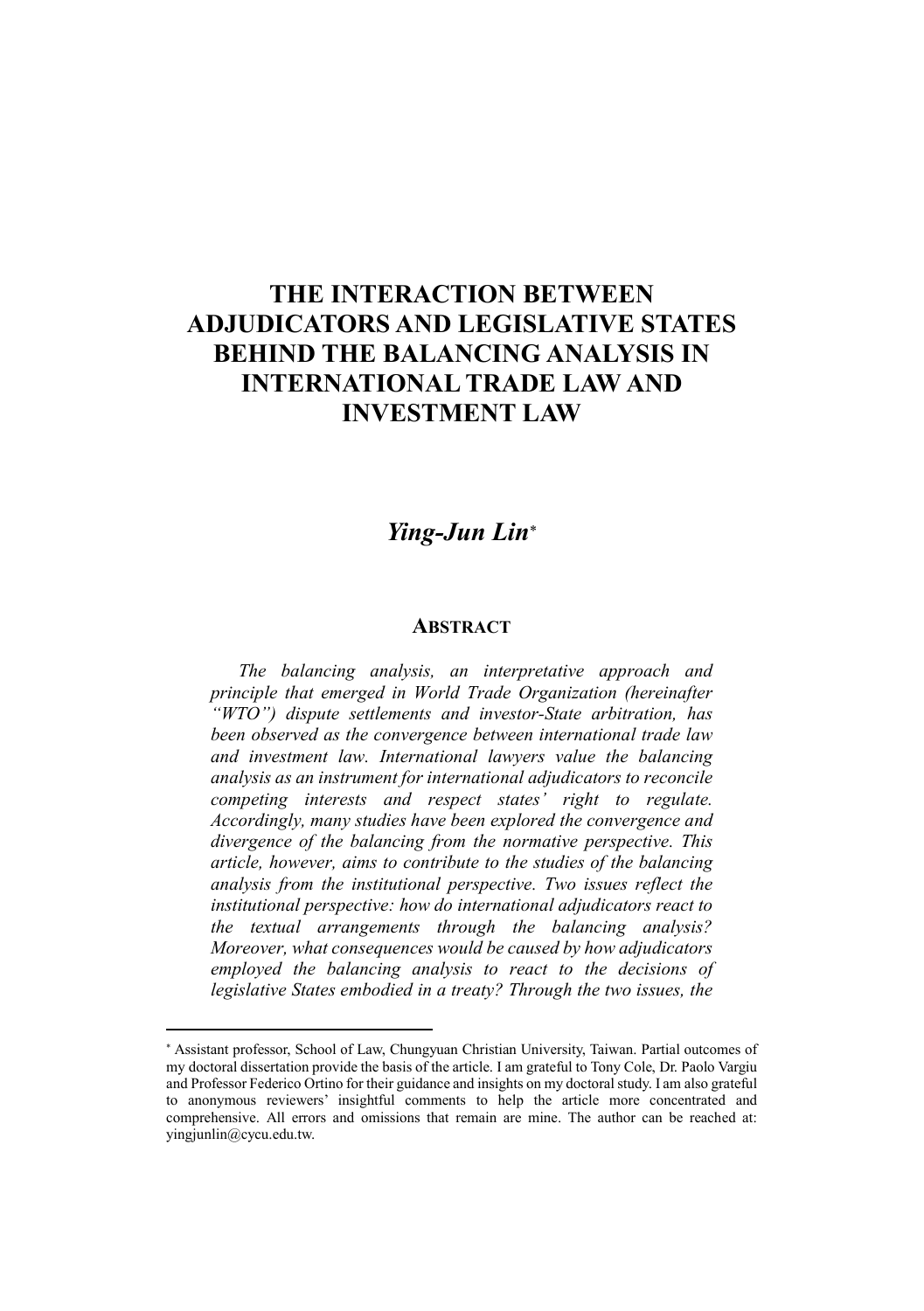## THE INTERACTION BETWEEN ADJUDICATORS AND LEGISLATIVE STATES BEHIND THE BALANCING ANALYSIS IN INTERNATIONAL TRADE LAW AND INVESTMENT LAW

## *Ying-Jun Lin*

## **ABSTRACT**

*The balancing analysis, an interpretative approach and principle that emerged in World Trade Organization (hereinafter "WTO") dispute settlements and investor-State arbitration, has been observed as the convergence between international trade law and investment law. International lawyers value the balancing analysis as an instrument for international adjudicators to reconcile competing interests and respect states' right to regulate. Accordingly, many studies have been explored the convergence and divergence of the balancing from the normative perspective. This article, however, aims to contribute to the studies of the balancing analysis from the institutional perspective. Two issues reflect the institutional perspective: how do international adjudicators react to the textual arrangements through the balancing analysis? Moreover, what consequences would be caused by how adjudicators employed the balancing analysis to react to the decisions of legislative States embodied in a treaty? Through the two issues, the* 

 $\overline{a}$ 

Assistant professor, School of Law, Chungyuan Christian University, Taiwan. Partial outcomes of my doctoral dissertation provide the basis of the article. I am grateful to Tony Cole, Dr. Paolo Vargiu and Professor Federico Ortino for their guidance and insights on my doctoral study. I am also grateful to anonymous reviewers' insightful comments to help the article more concentrated and comprehensive. All errors and omissions that remain are mine. The author can be reached at: yingjunlin@cycu.edu.tw.